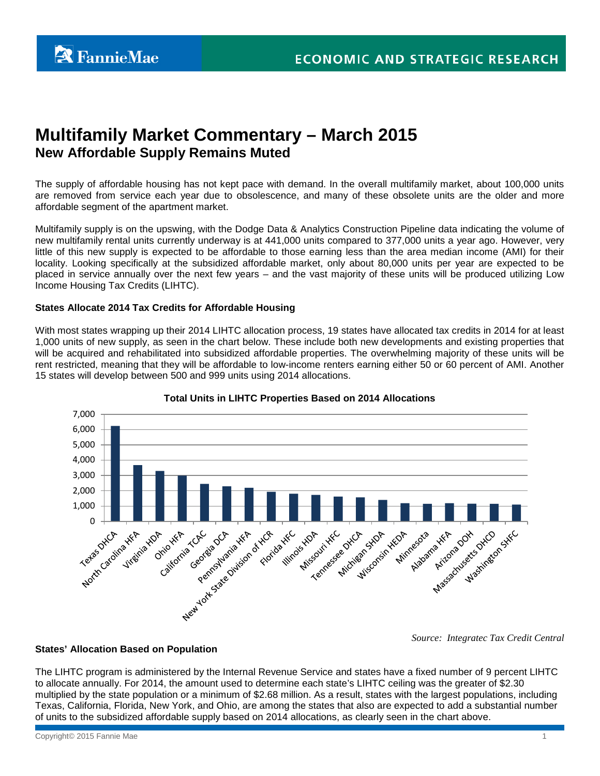# **Multifamily Market Commentary – March 2015 New Affordable Supply Remains Muted**

The supply of affordable housing has not kept pace with demand. In the overall multifamily market, about 100,000 units are removed from service each year due to obsolescence, and many of these obsolete units are the older and more affordable segment of the apartment market.

Multifamily supply is on the upswing, with the Dodge Data & Analytics Construction Pipeline data indicating the volume of new multifamily rental units currently underway is at 441,000 units compared to 377,000 units a year ago. However, very little of this new supply is expected to be affordable to those earning less than the area median income (AMI) for their locality. Looking specifically at the subsidized affordable market, only about 80,000 units per year are expected to be placed in service annually over the next few years – and the vast majority of these units will be produced utilizing Low Income Housing Tax Credits (LIHTC).

# **States Allocate 2014 Tax Credits for Affordable Housing**

With most states wrapping up their 2014 LIHTC allocation process, 19 states have allocated tax credits in 2014 for at least 1,000 units of new supply, as seen in the chart below. These include both new developments and existing properties that will be acquired and rehabilitated into subsidized affordable properties. The overwhelming majority of these units will be rent restricted, meaning that they will be affordable to low-income renters earning either 50 or 60 percent of AMI. Another 15 states will develop between 500 and 999 units using 2014 allocations.



# **Total Units in LIHTC Properties Based on 2014 Allocations**

*Source: Integratec Tax Credit Central* 

# **States' Allocation Based on Population**

The LIHTC program is administered by the Internal Revenue Service and states have a fixed number of 9 percent LIHTC to allocate annually. For 2014, the amount used to determine each state's LIHTC ceiling was the greater of \$2.30 multiplied by the state population or a minimum of \$2.68 million. As a result, states with the largest populations, including Texas, California, Florida, New York, and Ohio, are among the states that also are expected to add a substantial number of units to the subsidized affordable supply based on 2014 allocations, as clearly seen in the chart above.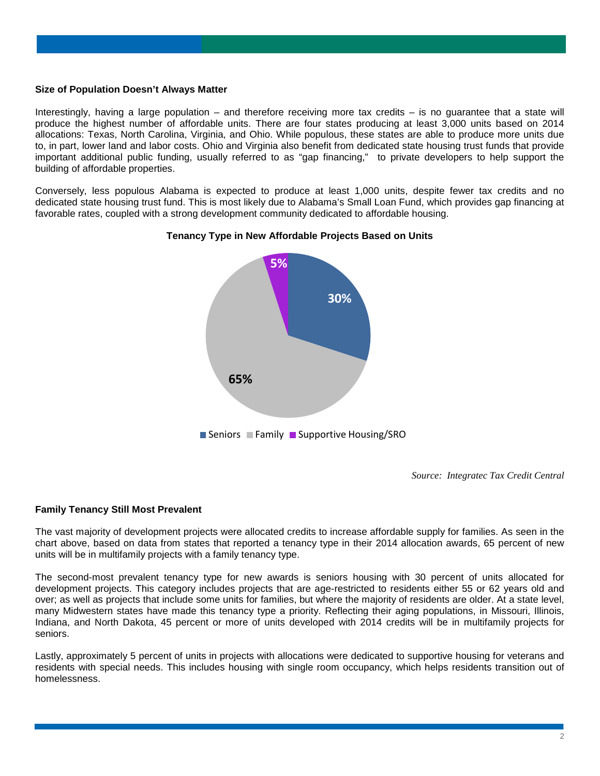#### **Size of Population Doesn't Always Matter**

Interestingly, having a large population – and therefore receiving more tax credits – is no guarantee that a state will produce the highest number of affordable units. There are four states producing at least 3,000 units based on 2014 allocations: Texas, North Carolina, Virginia, and Ohio. While populous, these states are able to produce more units due to, in part, lower land and labor costs. Ohio and Virginia also benefit from dedicated state housing trust funds that provide important additional public funding, usually referred to as "gap financing," to private developers to help support the building of affordable properties.

Conversely, less populous Alabama is expected to produce at least 1,000 units, despite fewer tax credits and no dedicated state housing trust fund. This is most likely due to Alabama's Small Loan Fund, which provides gap financing at favorable rates, coupled with a strong development community dedicated to affordable housing.



#### **Tenancy Type in New Affordable Projects Based on Units**

*Source: Integratec Tax Credit Central* 

#### **Family Tenancy Still Most Prevalent**

The vast majority of development projects were allocated credits to increase affordable supply for families. As seen in the chart above, based on data from states that reported a tenancy type in their 2014 allocation awards, 65 percent of new units will be in multifamily projects with a family tenancy type.

The second-most prevalent tenancy type for new awards is seniors housing with 30 percent of units allocated for development projects. This category includes projects that are age-restricted to residents either 55 or 62 years old and over; as well as projects that include some units for families, but where the majority of residents are older. At a state level, many Midwestern states have made this tenancy type a priority. Reflecting their aging populations, in Missouri, Illinois, Indiana, and North Dakota, 45 percent or more of units developed with 2014 credits will be in multifamily projects for seniors.

Lastly, approximately 5 percent of units in projects with allocations were dedicated to supportive housing for veterans and residents with special needs. This includes housing with single room occupancy, which helps residents transition out of homelessness.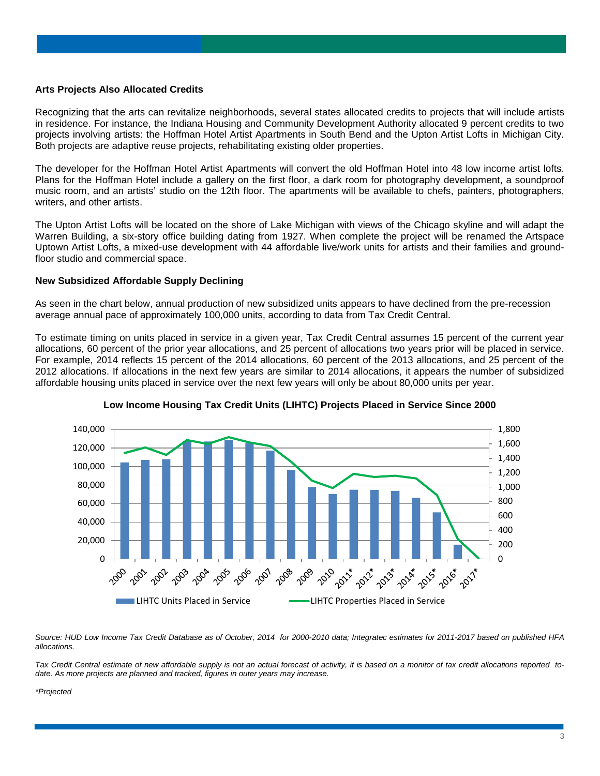#### **Arts Projects Also Allocated Credits**

Recognizing that the arts can revitalize neighborhoods, several states allocated credits to projects that will include artists in residence. For instance, the Indiana Housing and Community Development Authority allocated 9 percent credits to two projects involving artists: the Hoffman Hotel Artist Apartments in South Bend and the Upton Artist Lofts in Michigan City. Both projects are adaptive reuse projects, rehabilitating existing older properties.

The developer for the Hoffman Hotel Artist Apartments will convert the old Hoffman Hotel into 48 low income artist lofts. Plans for the Hoffman Hotel include a gallery on the first floor, a dark room for photography development, a soundproof music room, and an artists' studio on the 12th floor. The apartments will be available to chefs, painters, photographers, writers, and other artists.

The Upton Artist Lofts will be located on the shore of Lake Michigan with views of the Chicago skyline and will adapt the Warren Building, a six-story office building dating from 1927. When complete the project will be renamed the Artspace Uptown Artist Lofts, a mixed-use development with 44 affordable live/work units for artists and their families and groundfloor studio and commercial space.

#### **New Subsidized Affordable Supply Declining**

As seen in the chart below, annual production of new subsidized units appears to have declined from the pre-recession average annual pace of approximately 100,000 units, according to data from Tax Credit Central.

To estimate timing on units placed in service in a given year, Tax Credit Central assumes 15 percent of the current year allocations, 60 percent of the prior year allocations, and 25 percent of allocations two years prior will be placed in service. For example, 2014 reflects 15 percent of the 2014 allocations, 60 percent of the 2013 allocations, and 25 percent of the 2012 allocations. If allocations in the next few years are similar to 2014 allocations, it appears the number of subsidized affordable housing units placed in service over the next few years will only be about 80,000 units per year.



#### **Low Income Housing Tax Credit Units (LIHTC) Projects Placed in Service Since 2000**

*Source: HUD Low Income Tax Credit Database as of October, 2014 for 2000-2010 data; Integratec estimates for 2011-2017 based on published HFA allocations.*

*Tax Credit Central estimate of new affordable supply is not an actual forecast of activity, it is based on a monitor of tax credit allocations reported todate. As more projects are planned and tracked, figures in outer years may increase.* 

*\*Projected*